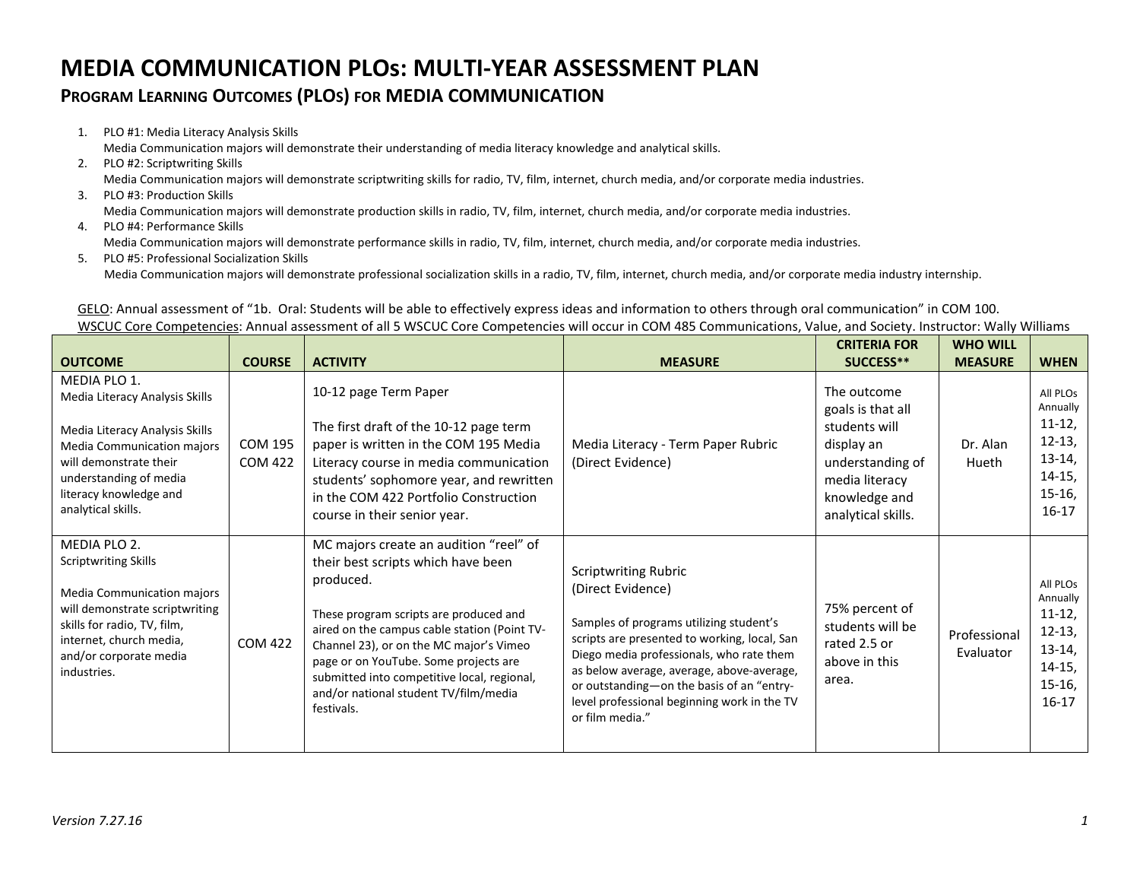## **MEDIA COMMUNICATION PLOs: MULTI-YEAR ASSESSMENT PLAN**

## **PROGRAM LEARNING OUTCOMES (PLOS) FOR MEDIA COMMUNICATION**

1. PLO #1: Media Literacy Analysis Skills

Media Communication majors will demonstrate their understanding of media literacy knowledge and analytical skills.

- 2. PLO #2: Scriptwriting Skills Media Communication majors will demonstrate scriptwriting skills for radio, TV, film, internet, church media, and/or corporate media industries.
- 3. PLO #3: Production Skills Media Communication majors will demonstrate production skills in radio, TV, film, internet, church media, and/or corporate media industries.
- 4. PLO #4: Performance Skills

Media Communication majors will demonstrate performance skills in radio, TV, film, internet, church media, and/or corporate media industries.

5. PLO #5: Professional Socialization Skills Media Communication majors will demonstrate professional socialization skills in a radio, TV, film, internet, church media, and/or corporate media industry internship.

GELO: Annual assessment of "1b. Oral: Students will be able to effectively express ideas and information to others through oral communication" in COM 100. WSCUC Core Competencies: Annual assessment of all 5 WSCUC Core Competencies will occur in COM 485 Communications, Value, and Society. Instructor: Wally Williams

| <b>OUTCOME</b>                                                                                                                                                                                                     | <b>COURSE</b>             | <b>ACTIVITY</b>                                                                                                                                                                                                                                                                                                                                                               | <b>MEASURE</b>                                                                                                                                                                                                                                                                                                                                      | <b>CRITERIA FOR</b><br>SUCCESS**                                                                                                             | <b>WHO WILL</b><br><b>MEASURE</b> | <b>WHEN</b>                                                                                 |
|--------------------------------------------------------------------------------------------------------------------------------------------------------------------------------------------------------------------|---------------------------|-------------------------------------------------------------------------------------------------------------------------------------------------------------------------------------------------------------------------------------------------------------------------------------------------------------------------------------------------------------------------------|-----------------------------------------------------------------------------------------------------------------------------------------------------------------------------------------------------------------------------------------------------------------------------------------------------------------------------------------------------|----------------------------------------------------------------------------------------------------------------------------------------------|-----------------------------------|---------------------------------------------------------------------------------------------|
| MEDIA PLO 1.<br>Media Literacy Analysis Skills<br>Media Literacy Analysis Skills<br>Media Communication majors<br>will demonstrate their<br>understanding of media<br>literacy knowledge and<br>analytical skills. | COM 195<br><b>COM 422</b> | 10-12 page Term Paper<br>The first draft of the 10-12 page term<br>paper is written in the COM 195 Media<br>Literacy course in media communication<br>students' sophomore year, and rewritten<br>in the COM 422 Portfolio Construction<br>course in their senior year.                                                                                                        | Media Literacy - Term Paper Rubric<br>(Direct Evidence)                                                                                                                                                                                                                                                                                             | The outcome<br>goals is that all<br>students will<br>display an<br>understanding of<br>media literacy<br>knowledge and<br>analytical skills. | Dr. Alan<br>Hueth                 | All PLOs<br>Annually<br>$11-12,$<br>$12-13,$<br>$13-14,$<br>$14-15,$<br>$15-16,$<br>$16-17$ |
| MEDIA PLO 2.<br><b>Scriptwriting Skills</b><br>Media Communication majors<br>will demonstrate scriptwriting<br>skills for radio, TV, film,<br>internet, church media,<br>and/or corporate media<br>industries.     | <b>COM 422</b>            | MC majors create an audition "reel" of<br>their best scripts which have been<br>produced.<br>These program scripts are produced and<br>aired on the campus cable station (Point TV-<br>Channel 23), or on the MC major's Vimeo<br>page or on YouTube. Some projects are<br>submitted into competitive local, regional,<br>and/or national student TV/film/media<br>festivals. | <b>Scriptwriting Rubric</b><br>(Direct Evidence)<br>Samples of programs utilizing student's<br>scripts are presented to working, local, San<br>Diego media professionals, who rate them<br>as below average, average, above-average,<br>or outstanding-on the basis of an "entry-<br>level professional beginning work in the TV<br>or film media." | 75% percent of<br>students will be<br>rated 2.5 or<br>above in this<br>area.                                                                 | Professional<br>Evaluator         | All PLOs<br>Annually<br>$11-12,$<br>$12-13,$<br>$13-14,$<br>$14-15,$<br>$15-16,$<br>$16-17$ |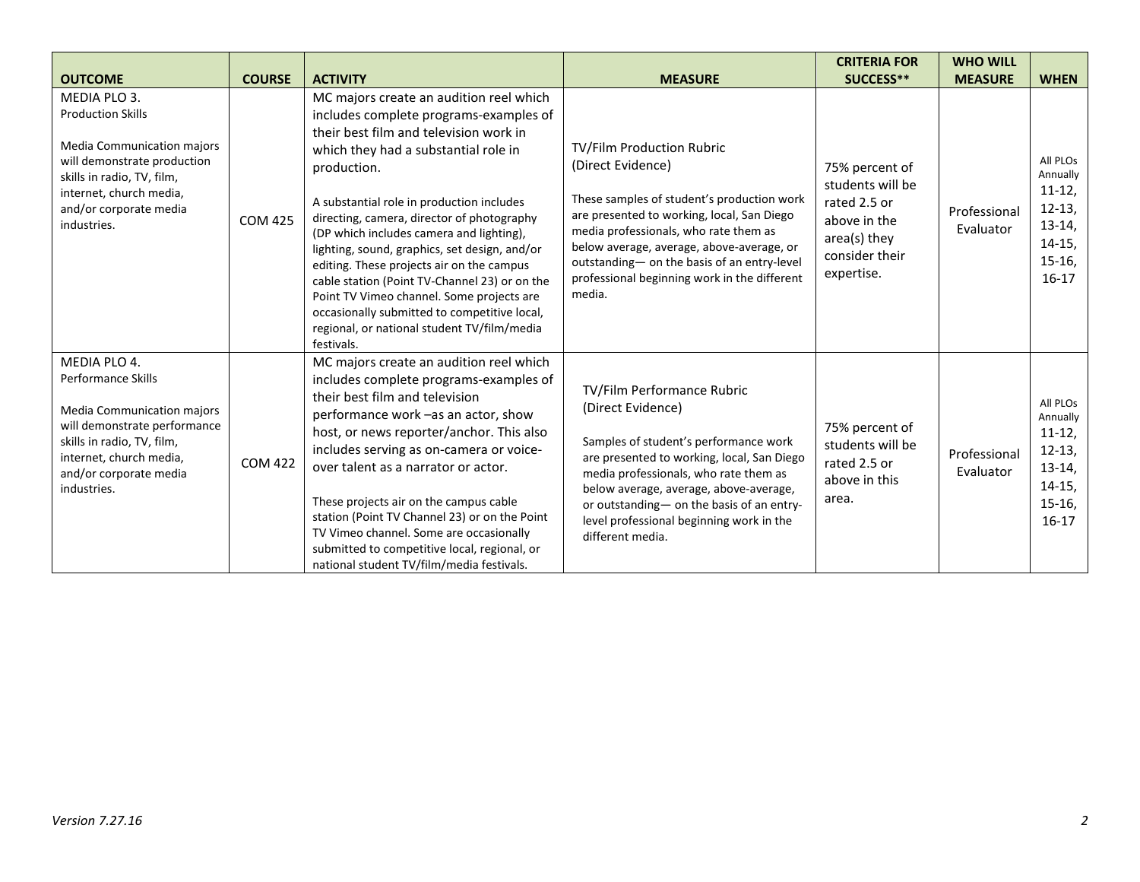|                                                                                                                                                                                                                |                |                                                                                                                                                                                                                                                                                                                                                                                                                                                                                                                                                                                                                                    |                                                                                                                                                                                                                                                                                                                                           | <b>CRITERIA FOR</b>                                                                                                | <b>WHO WILL</b>           |                                                                                               |
|----------------------------------------------------------------------------------------------------------------------------------------------------------------------------------------------------------------|----------------|------------------------------------------------------------------------------------------------------------------------------------------------------------------------------------------------------------------------------------------------------------------------------------------------------------------------------------------------------------------------------------------------------------------------------------------------------------------------------------------------------------------------------------------------------------------------------------------------------------------------------------|-------------------------------------------------------------------------------------------------------------------------------------------------------------------------------------------------------------------------------------------------------------------------------------------------------------------------------------------|--------------------------------------------------------------------------------------------------------------------|---------------------------|-----------------------------------------------------------------------------------------------|
| <b>OUTCOME</b>                                                                                                                                                                                                 | <b>COURSE</b>  | <b>ACTIVITY</b>                                                                                                                                                                                                                                                                                                                                                                                                                                                                                                                                                                                                                    | <b>MEASURE</b>                                                                                                                                                                                                                                                                                                                            | SUCCESS**                                                                                                          | <b>MEASURE</b>            | <b>WHEN</b>                                                                                   |
| MEDIA PLO 3.<br><b>Production Skills</b><br><b>Media Communication majors</b><br>will demonstrate production<br>skills in radio, TV, film,<br>internet, church media,<br>and/or corporate media<br>industries. | <b>COM 425</b> | MC majors create an audition reel which<br>includes complete programs-examples of<br>their best film and television work in<br>which they had a substantial role in<br>production.<br>A substantial role in production includes<br>directing, camera, director of photography<br>(DP which includes camera and lighting),<br>lighting, sound, graphics, set design, and/or<br>editing. These projects air on the campus<br>cable station (Point TV-Channel 23) or on the<br>Point TV Vimeo channel. Some projects are<br>occasionally submitted to competitive local,<br>regional, or national student TV/film/media<br>festivals. | TV/Film Production Rubric<br>(Direct Evidence)<br>These samples of student's production work<br>are presented to working, local, San Diego<br>media professionals, who rate them as<br>below average, average, above-average, or<br>outstanding- on the basis of an entry-level<br>professional beginning work in the different<br>media. | 75% percent of<br>students will be<br>rated 2.5 or<br>above in the<br>area(s) they<br>consider their<br>expertise. | Professional<br>Evaluator | All PLOS<br>Annually<br>$11-12$<br>$12-13,$<br>$13-14,$<br>$14-15,$<br>$15-16$ ,<br>$16-17$   |
| MEDIA PLO 4.<br><b>Performance Skills</b><br>Media Communication majors<br>will demonstrate performance<br>skills in radio, TV, film,<br>internet, church media,<br>and/or corporate media<br>industries.      | <b>COM 422</b> | MC majors create an audition reel which<br>includes complete programs-examples of<br>their best film and television<br>performance work -as an actor, show<br>host, or news reporter/anchor. This also<br>includes serving as on-camera or voice-<br>over talent as a narrator or actor.<br>These projects air on the campus cable<br>station (Point TV Channel 23) or on the Point<br>TV Vimeo channel. Some are occasionally<br>submitted to competitive local, regional, or<br>national student TV/film/media festivals.                                                                                                        | TV/Film Performance Rubric<br>(Direct Evidence)<br>Samples of student's performance work<br>are presented to working, local, San Diego<br>media professionals, who rate them as<br>below average, average, above-average,<br>or outstanding- on the basis of an entry-<br>level professional beginning work in the<br>different media.    | 75% percent of<br>students will be<br>rated 2.5 or<br>above in this<br>area.                                       | Professional<br>Evaluator | All PLOS<br>Annually<br>$11 - 12$<br>$12 - 13$<br>$13-14,$<br>$14-15,$<br>$15-16,$<br>$16-17$ |